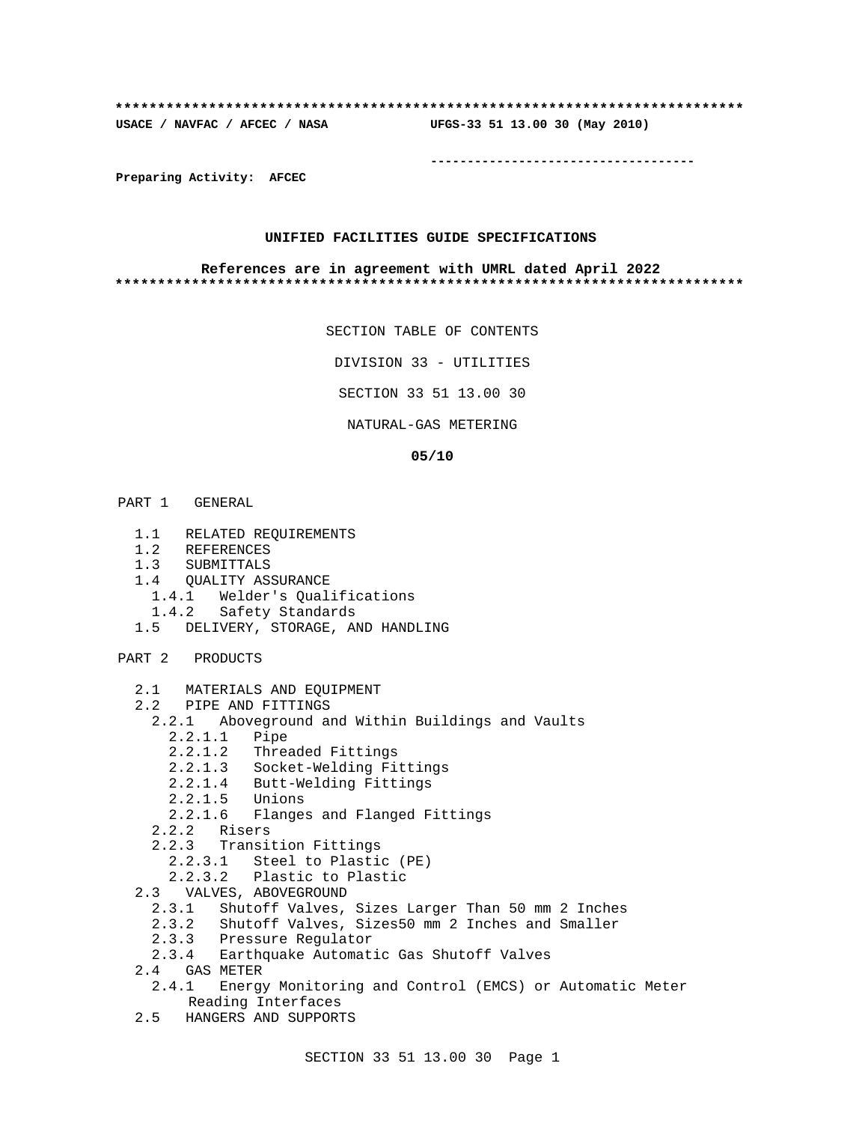### **\*\*\*\*\*\*\*\*\*\*\*\*\*\*\*\*\*\*\*\*\*\*\*\*\*\*\*\*\*\*\*\*\*\*\*\*\*\*\*\*\*\*\*\*\*\*\*\*\*\*\*\*\*\*\*\*\*\*\*\*\*\*\*\*\*\*\*\*\*\*\*\*\*\***

**USACE / NAVFAC / AFCEC / NASA UFGS-33 51 13.00 30 (May 2010)**

**------------------------------------**

**Preparing Activity: AFCEC**

## **UNIFIED FACILITIES GUIDE SPECIFICATIONS**

### **References are in agreement with UMRL dated April 2022 \*\*\*\*\*\*\*\*\*\*\*\*\*\*\*\*\*\*\*\*\*\*\*\*\*\*\*\*\*\*\*\*\*\*\*\*\*\*\*\*\*\*\*\*\*\*\*\*\*\*\*\*\*\*\*\*\*\*\*\*\*\*\*\*\*\*\*\*\*\*\*\*\*\***

```
SECTION TABLE OF CONTENTS
```
DIVISION 33 - UTILITIES

SECTION 33 51 13.00 30

NATURAL-GAS METERING

### **05/10**

- PART 1 GENERAL
	- 1.1 RELATED REQUIREMENTS
	- 1.2 REFERENCES
	- 1.3 SUBMITTALS
	- 1.4 QUALITY ASSURANCE
	- 1.4.1 Welder's Qualifications
	- 1.4.2 Safety Standards
	- 1.5 DELIVERY, STORAGE, AND HANDLING

PART 2 PRODUCTS

- 2.1 MATERIALS AND EQUIPMENT
- 2.2 PIPE AND FITTINGS
	- 2.2.1 Aboveground and Within Buildings and Vaults
	- 2.2.1.1 Pipe
		- 2.2.1.2 Threaded Fittings
		- 2.2.1.3 Socket-Welding Fittings
		- 2.2.1.4 Butt-Welding Fittings
		- 2.2.1.5 Unions
		- 2.2.1.6 Flanges and Flanged Fittings
	- 2.2.2 Risers
	- 2.2.3 Transition Fittings
		- 2.2.3.1 Steel to Plastic (PE)
		- 2.2.3.2 Plastic to Plastic
- 2.3 VALVES, ABOVEGROUND
	- 2.3.1 Shutoff Valves, Sizes Larger Than 50 mm 2 Inches
	- 2.3.2 Shutoff Valves, Sizes50 mm 2 Inches and Smaller
	- 2.3.3 Pressure Regulator
	- 2.3.4 Earthquake Automatic Gas Shutoff Valves
- 2.4 GAS METER
	- 2.4.1 Energy Monitoring and Control (EMCS) or Automatic Meter Reading Interfaces
- 2.5 HANGERS AND SUPPORTS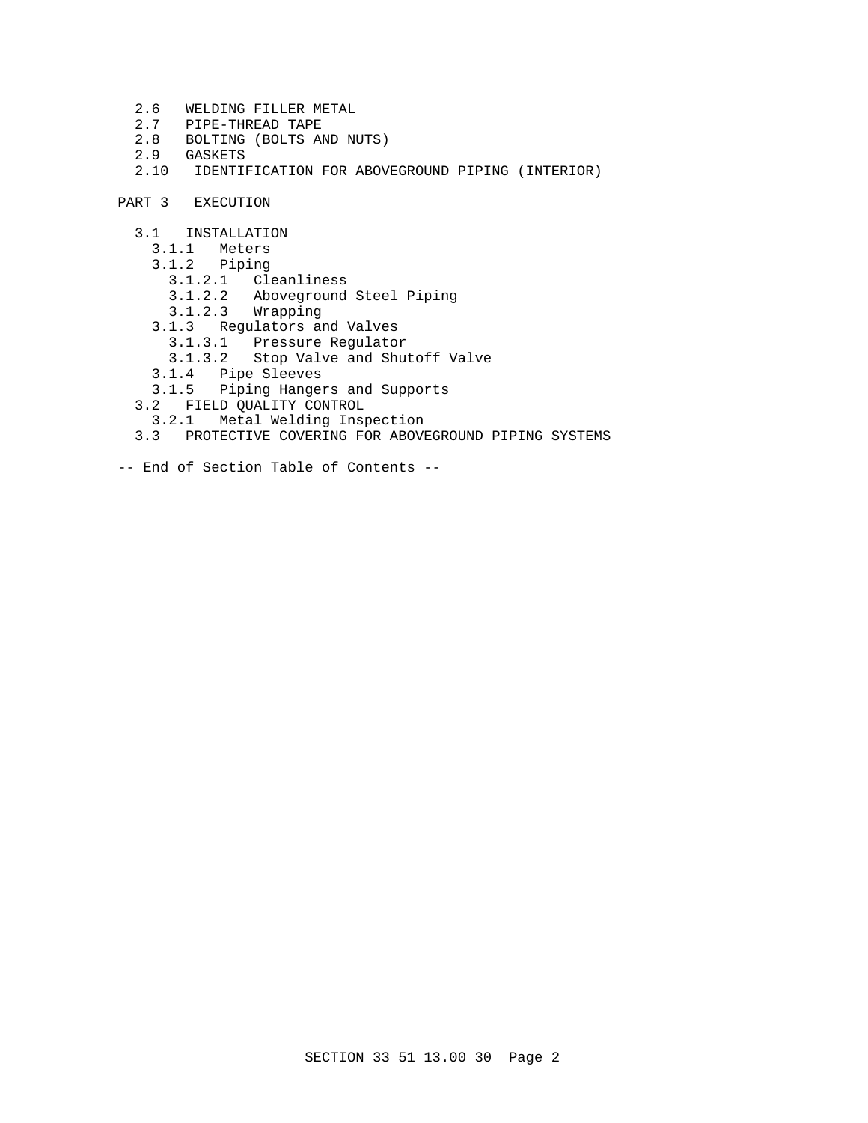- 2.6 WELDING FILLER METAL
- 2.7 PIPE-THREAD TAPE
- 2.8 BOLTING (BOLTS AND NUTS)
- 2.9 GASKETS
- 2.10 IDENTIFICATION FOR ABOVEGROUND PIPING (INTERIOR)
- PART 3 EXECUTION
	- 3.1 INSTALLATION
		- 3.1.1 Meters
		- 3.1.2 Piping
			- 3.1.2.1 Cleanliness
			- 3.1.2.2 Aboveground Steel Piping
			- 3.1.2.3 Wrapping
		- 3.1.3 Regulators and Valves
		- 3.1.3.1 Pressure Regulator
			- 3.1.3.2 Stop Valve and Shutoff Valve
- 3.1.4 Pipe Sleeves
- 3.1.5 Piping Hangers and Supports
	- 3.2 FIELD QUALITY CONTROL
	- 3.2.1 Metal Welding Inspection
	- 3.3 PROTECTIVE COVERING FOR ABOVEGROUND PIPING SYSTEMS
- -- End of Section Table of Contents --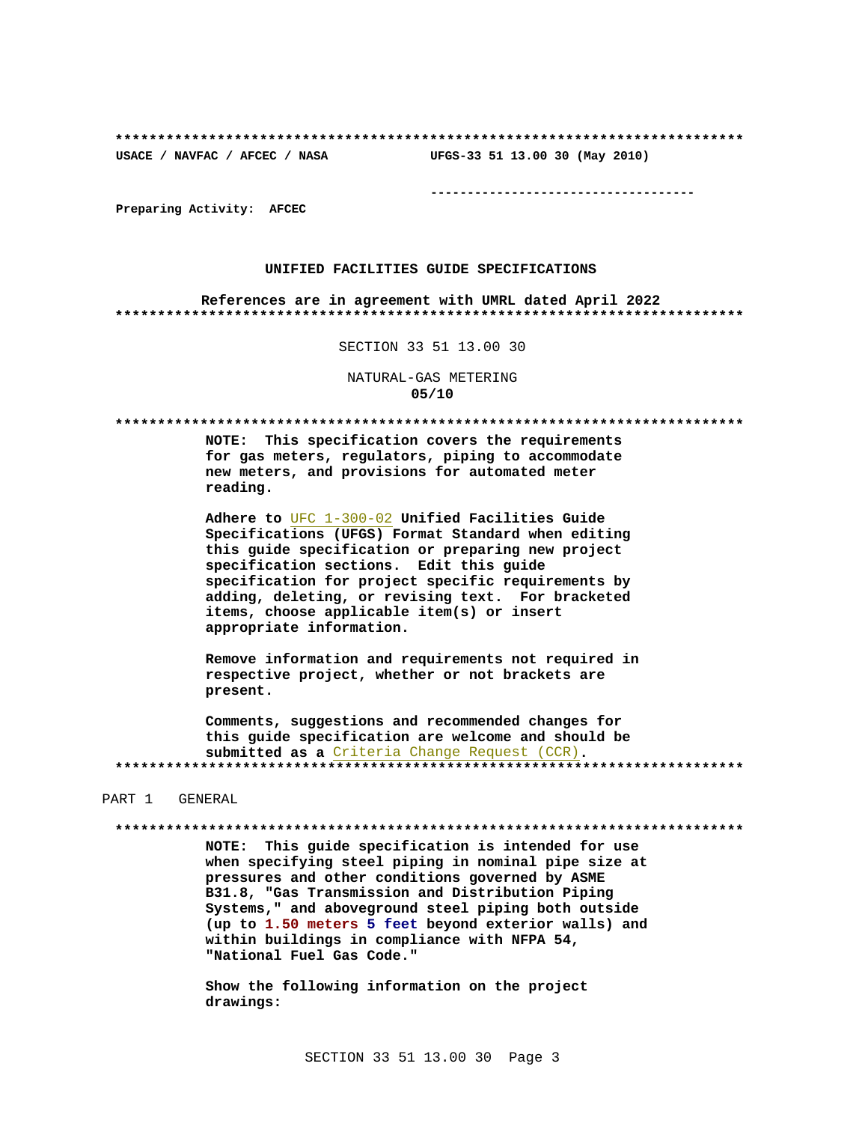# UFGS-33 51 13.00 30 (May 2010)

USACE / NAVFAC / AFCEC / NASA

--------------------------------------

Preparing Activity: AFCEC

### UNIFIED FACILITIES GUIDE SPECIFICATIONS

References are in agreement with UMRL dated April 2022 

SECTION 33 51 13.00 30

## NATURAL-GAS METERING  $05/10$

NOTE: This specification covers the requirements for gas meters, regulators, piping to accommodate new meters, and provisions for automated meter reading.

Adhere to UFC 1-300-02 Unified Facilities Guide Specifications (UFGS) Format Standard when editing this quide specification or preparing new project specification sections. Edit this guide specification for project specific requirements by adding, deleting, or revising text. For bracketed items, choose applicable item(s) or insert appropriate information.

Remove information and requirements not required in respective project, whether or not brackets are present.

Comments, suggestions and recommended changes for this quide specification are welcome and should be submitted as a Criteria Change Request (CCR). 

### PART 1 GENERAL

#### 

NOTE: This guide specification is intended for use when specifying steel piping in nominal pipe size at pressures and other conditions governed by ASME B31.8, "Gas Transmission and Distribution Piping Systems," and aboveground steel piping both outside (up to 1.50 meters 5 feet beyond exterior walls) and within buildings in compliance with NFPA 54, "National Fuel Gas Code."

Show the following information on the project drawings: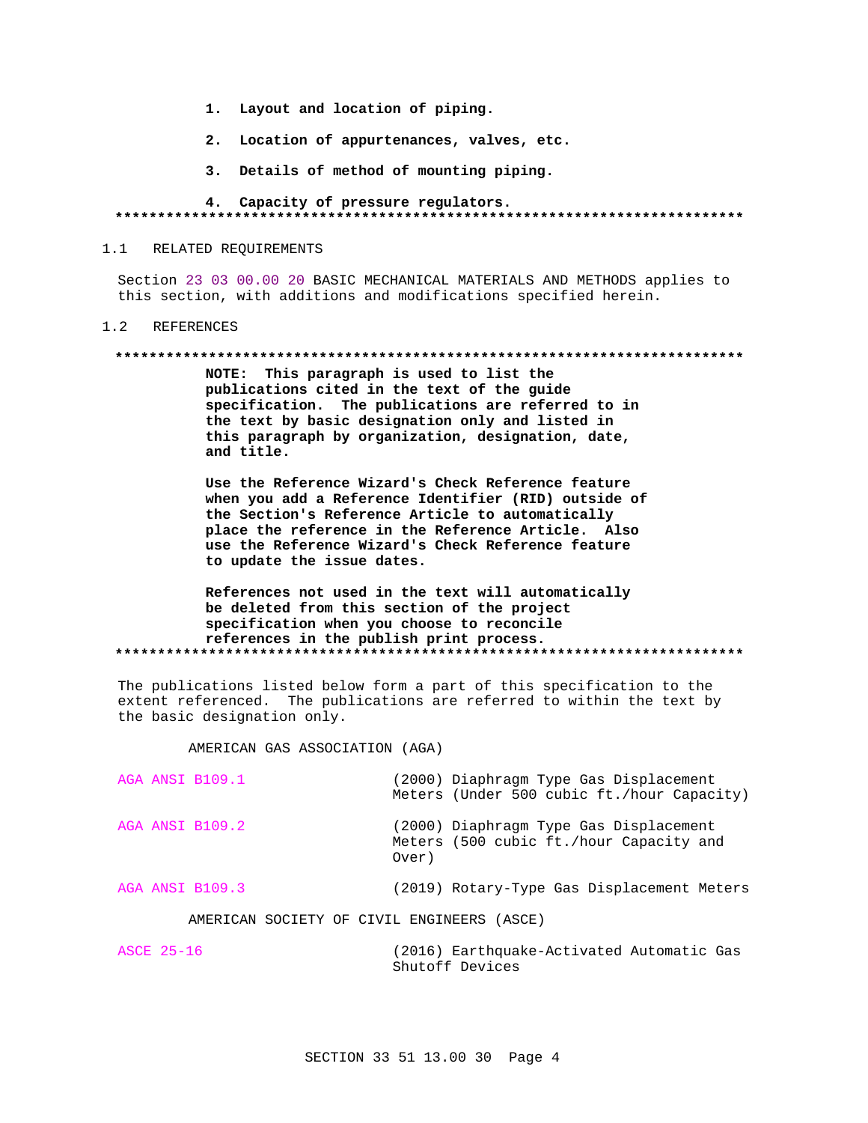- 1. Layout and location of piping.
- 2. Location of appurtenances, valves, etc.
- 3. Details of method of mounting piping.

## 4. Capacity of pressure regulators.

#### $1.1$ RELATED REQUIREMENTS

Section 23 03 00.00 20 BASIC MECHANICAL MATERIALS AND METHODS applies to this section, with additions and modifications specified herein.

#### $1.2$ REFERENCES

### 

NOTE: This paragraph is used to list the publications cited in the text of the guide specification. The publications are referred to in the text by basic designation only and listed in this paragraph by organization, designation, date, and title.

Use the Reference Wizard's Check Reference feature when you add a Reference Identifier (RID) outside of the Section's Reference Article to automatically place the reference in the Reference Article. Also use the Reference Wizard's Check Reference feature to update the issue dates.

## References not used in the text will automatically be deleted from this section of the project specification when you choose to reconcile references in the publish print process.

The publications listed below form a part of this specification to the extent referenced. The publications are referred to within the text by the basic designation only.

## AMERICAN GAS ASSOCIATION (AGA)

|  | AGA ANSI B109.1                            |  |       | (2000) Diaphragm Type Gas Displacement<br>Meters (Under 500 cubic ft./hour Capacity) |  |  |  |
|--|--------------------------------------------|--|-------|--------------------------------------------------------------------------------------|--|--|--|
|  | AGA ANSI B109.2                            |  | Over) | (2000) Diaphragm Type Gas Displacement<br>Meters (500 cubic ft./hour Capacity and    |  |  |  |
|  | AGA ANSI B109.3                            |  |       | (2019) Rotary-Type Gas Displacement Meters                                           |  |  |  |
|  | AMERICAN SOCIETY OF CIVIL ENGINEERS (ASCE) |  |       |                                                                                      |  |  |  |

**ASCE 25-16** (2016) Earthquake-Activated Automatic Gas Shutoff Devices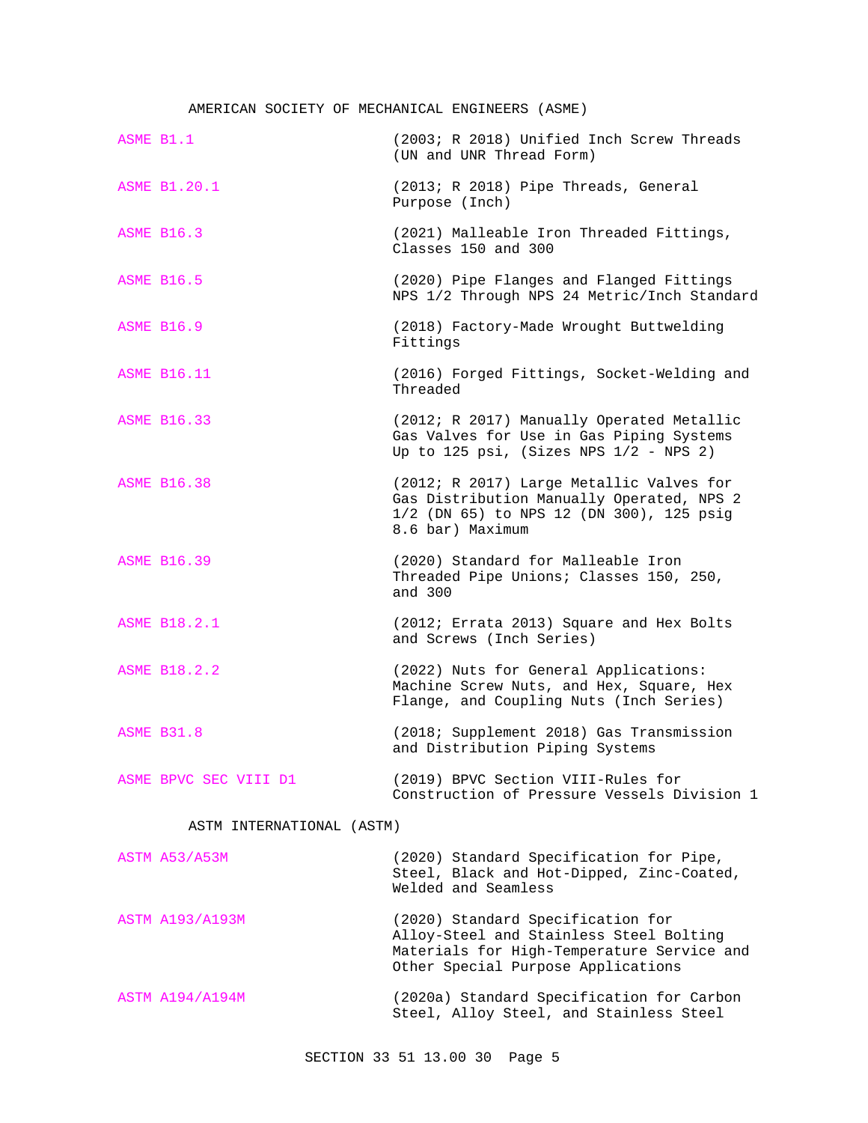# AMERICAN SOCIETY OF MECHANICAL ENGINEERS (ASME)

| ASME B1.1              |                           | (2003; R 2018) Unified Inch Screw Threads<br>(UN and UNR Thread Form)                                                                                            |
|------------------------|---------------------------|------------------------------------------------------------------------------------------------------------------------------------------------------------------|
| <b>ASME B1.20.1</b>    |                           | (2013; R 2018) Pipe Threads, General<br>Purpose (Inch)                                                                                                           |
| <b>ASME B16.3</b>      |                           | (2021) Malleable Iron Threaded Fittings,<br>Classes 150 and 300                                                                                                  |
| <b>ASME B16.5</b>      |                           | (2020) Pipe Flanges and Flanged Fittings<br>NPS 1/2 Through NPS 24 Metric/Inch Standard                                                                          |
| <b>ASME B16.9</b>      |                           | (2018) Factory-Made Wrought Buttwelding<br>Fittings                                                                                                              |
| <b>ASME B16.11</b>     |                           | (2016) Forged Fittings, Socket-Welding and<br>Threaded                                                                                                           |
| <b>ASME B16.33</b>     |                           | (2012; R 2017) Manually Operated Metallic<br>Gas Valves for Use in Gas Piping Systems<br>Up to 125 psi, (Sizes NPS $1/2$ - NPS 2)                                |
| <b>ASME B16.38</b>     |                           | (2012; R 2017) Large Metallic Valves for<br>Gas Distribution Manually Operated, NPS 2<br>1/2 (DN 65) to NPS 12 (DN 300), 125 psig<br>8.6 bar) Maximum            |
| <b>ASME B16.39</b>     |                           | (2020) Standard for Malleable Iron<br>Threaded Pipe Unions; Classes 150, 250,<br>and 300                                                                         |
| ASME B18.2.1           |                           | (2012; Errata 2013) Square and Hex Bolts<br>and Screws (Inch Series)                                                                                             |
| <b>ASME B18.2.2</b>    |                           | (2022) Nuts for General Applications:<br>Machine Screw Nuts, and Hex, Square, Hex<br>Flange, and Coupling Nuts (Inch Series)                                     |
| <b>ASME B31.8</b>      |                           | (2018; Supplement 2018) Gas Transmission<br>and Distribution Piping Systems                                                                                      |
|                        | ASME BPVC SEC VIII D1     | (2019) BPVC Section VIII-Rules for<br>Construction of Pressure Vessels Division 1                                                                                |
|                        | ASTM INTERNATIONAL (ASTM) |                                                                                                                                                                  |
| ASTM A53/A53M          |                           | (2020) Standard Specification for Pipe,<br>Steel, Black and Hot-Dipped, Zinc-Coated,<br>Welded and Seamless                                                      |
| <b>ASTM A193/A193M</b> |                           | (2020) Standard Specification for<br>Alloy-Steel and Stainless Steel Bolting<br>Materials for High-Temperature Service and<br>Other Special Purpose Applications |
| ASTM A194/A194M        |                           | (2020a) Standard Specification for Carbon<br>Steel, Alloy Steel, and Stainless Steel                                                                             |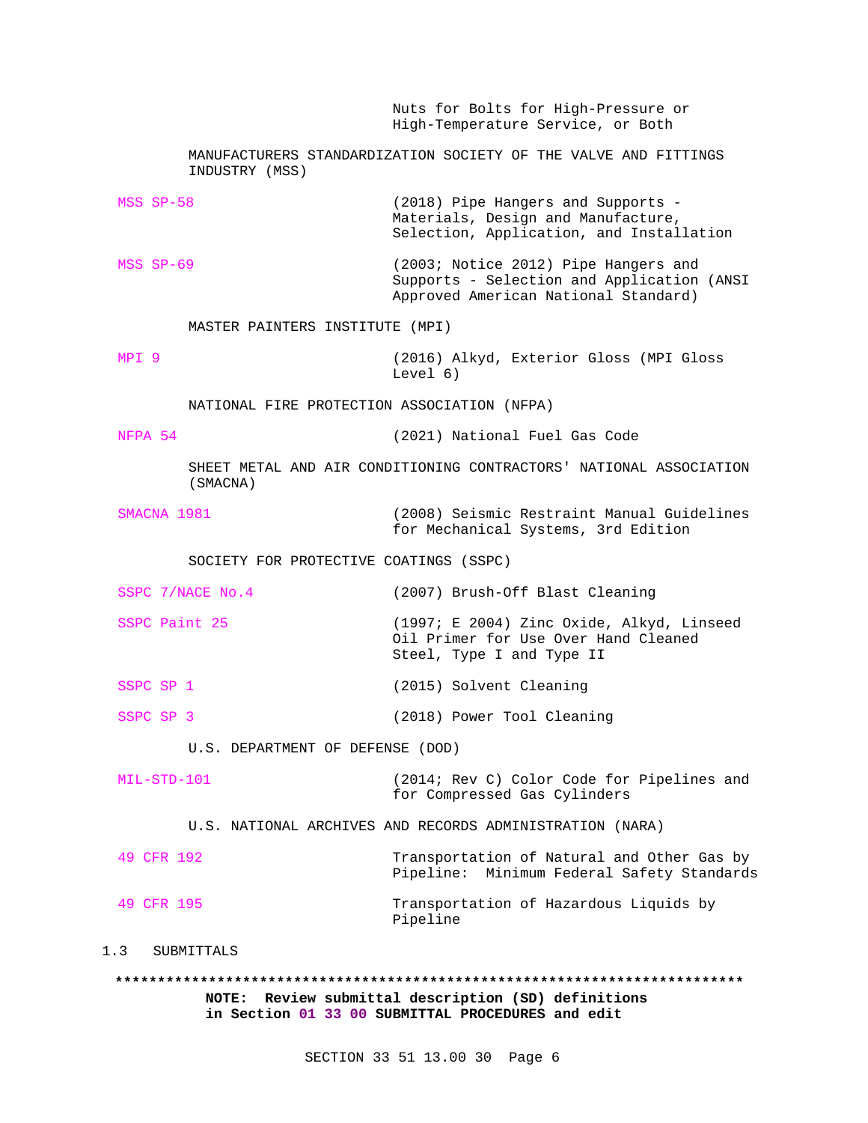Nuts for Bolts for High-Pressure or High-Temperature Service, or Both MANUFACTURERS STANDARDIZATION SOCIETY OF THE VALVE AND FITTINGS INDUSTRY (MSS) MSS SP-58 (2018) Pipe Hangers and Supports - Materials, Design and Manufacture, Selection, Application, and Installation MSS SP-69 (2003; Notice 2012) Pipe Hangers and Supports - Selection and Application (ANSI Approved American National Standard) MASTER PAINTERS INSTITUTE (MPI) MPI 9 (2016) Alkyd, Exterior Gloss (MPI Gloss Level 6) NATIONAL FIRE PROTECTION ASSOCIATION (NFPA) NFPA 54 (2021) National Fuel Gas Code SHEET METAL AND AIR CONDITIONING CONTRACTORS' NATIONAL ASSOCIATION (SMACNA) SMACNA 1981 (2008) Seismic Restraint Manual Guidelines for Mechanical Systems, 3rd Edition SOCIETY FOR PROTECTIVE COATINGS (SSPC) SSPC 7/NACE No.4 (2007) Brush-Off Blast Cleaning SSPC Paint 25 (1997; E 2004) Zinc Oxide, Alkyd, Linseed Oil Primer for Use Over Hand Cleaned Steel, Type I and Type II SSPC SP 1 (2015) Solvent Cleaning SSPC SP 3 (2018) Power Tool Cleaning U.S. DEPARTMENT OF DEFENSE (DOD) MIL-STD-101 (2014; Rev C) Color Code for Pipelines and for Compressed Gas Cylinders U.S. NATIONAL ARCHIVES AND RECORDS ADMINISTRATION (NARA) 49 CFR 192 Transportation of Natural and Other Gas by Pipeline: Minimum Federal Safety Standards 49 CFR 195 Transportation of Hazardous Liquids by Pipeline 1.3 SUBMITTALS **\*\*\*\*\*\*\*\*\*\*\*\*\*\*\*\*\*\*\*\*\*\*\*\*\*\*\*\*\*\*\*\*\*\*\*\*\*\*\*\*\*\*\*\*\*\*\*\*\*\*\*\*\*\*\*\*\*\*\*\*\*\*\*\*\*\*\*\*\*\*\*\*\*\***

> **NOTE: Review submittal description (SD) definitions in Section 01 33 00 SUBMITTAL PROCEDURES and edit**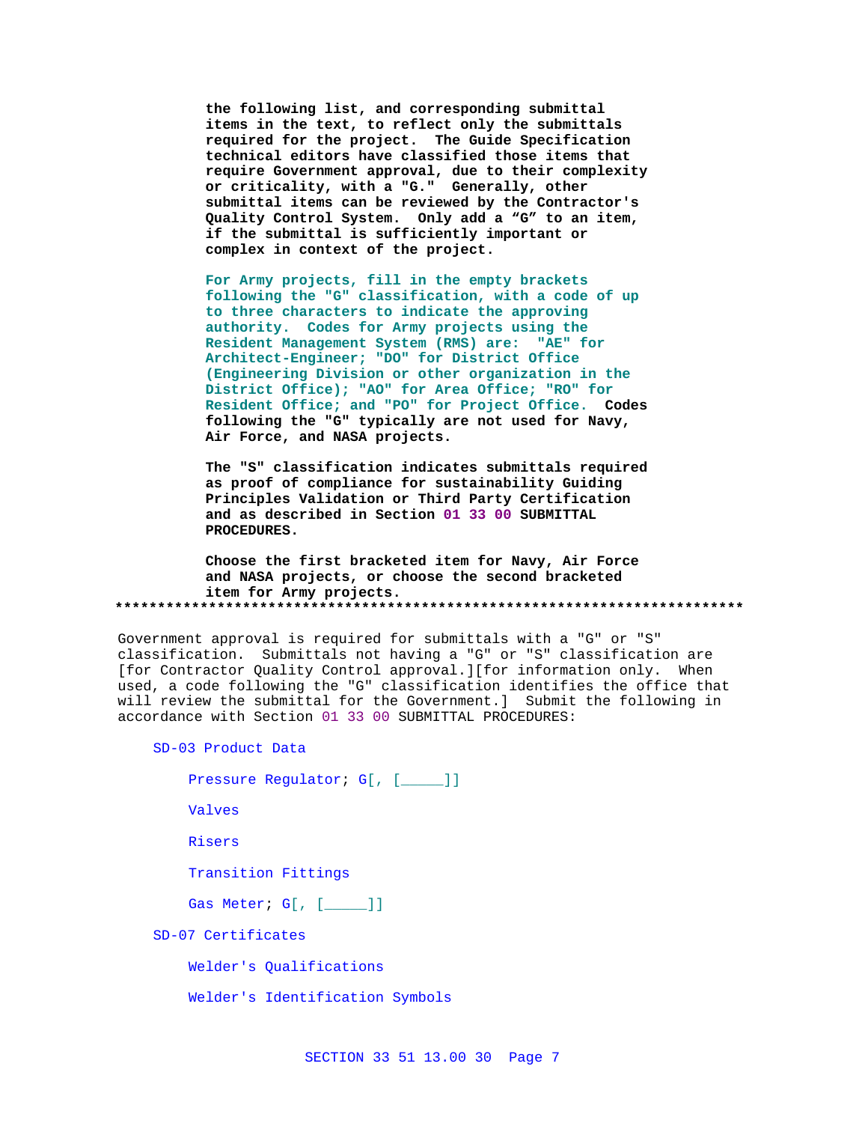**the following list, and corresponding submittal items in the text, to reflect only the submittals required for the project. The Guide Specification technical editors have classified those items that require Government approval, due to their complexity or criticality, with a "G." Generally, other submittal items can be reviewed by the Contractor's Quality Control System. Only add a "G" to an item, if the submittal is sufficiently important or complex in context of the project.**

**For Army projects, fill in the empty brackets following the "G" classification, with a code of up to three characters to indicate the approving authority. Codes for Army projects using the Resident Management System (RMS) are: "AE" for Architect-Engineer; "DO" for District Office (Engineering Division or other organization in the District Office); "AO" for Area Office; "RO" for Resident Office; and "PO" for Project Office. Codes following the "G" typically are not used for Navy, Air Force, and NASA projects.**

**The "S" classification indicates submittals required as proof of compliance for sustainability Guiding Principles Validation or Third Party Certification and as described in Section 01 33 00 SUBMITTAL PROCEDURES.**

**Choose the first bracketed item for Navy, Air Force and NASA projects, or choose the second bracketed item for Army projects. \*\*\*\*\*\*\*\*\*\*\*\*\*\*\*\*\*\*\*\*\*\*\*\*\*\*\*\*\*\*\*\*\*\*\*\*\*\*\*\*\*\*\*\*\*\*\*\*\*\*\*\*\*\*\*\*\*\*\*\*\*\*\*\*\*\*\*\*\*\*\*\*\*\***

Government approval is required for submittals with a "G" or "S" classification. Submittals not having a "G" or "S" classification are [for Contractor Quality Control approval.][for information only. When used, a code following the "G" classification identifies the office that will review the submittal for the Government.] Submit the following in accordance with Section 01 33 00 SUBMITTAL PROCEDURES:

SD-03 Product Data

```
Pressure Regulator; G[, [____]]
```
Valves

Risers

Transition Fittings

Gas Meter; G[, [\_\_\_\_\_]]

SD-07 Certificates

Welder's Qualifications

Welder's Identification Symbols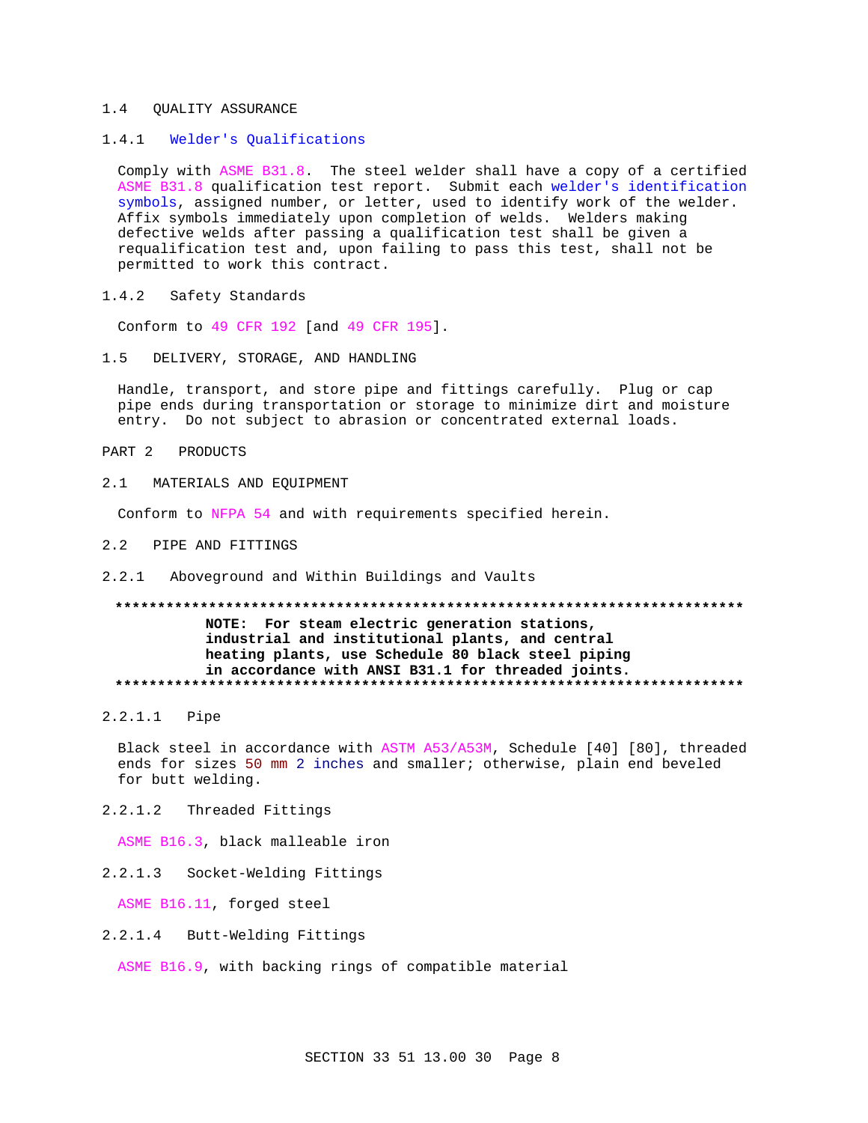#### $1.4$ **OUALITY ASSURANCE**

#### Welder's Qualifications  $1.4.1$

Comply with ASME B31.8. The steel welder shall have a copy of a certified ASME B31.8 qualification test report. Submit each welder's identification symbols, assigned number, or letter, used to identify work of the welder. Affix symbols immediately upon completion of welds. Welders making defective welds after passing a qualification test shall be given a requalification test and, upon failing to pass this test, shall not be permitted to work this contract.

 $1.4.2$ Safety Standards

Conform to 49 CFR 192 [and 49 CFR 195].

DELIVERY, STORAGE, AND HANDLING  $1.5$ 

Handle, transport, and store pipe and fittings carefully. Plug or cap pipe ends during transportation or storage to minimize dirt and moisture entry. Do not subject to abrasion or concentrated external loads.

PART 2 PRODUCTS

 $2 \quad 1$ MATERIALS AND EOUIPMENT

Conform to NFPA 54 and with requirements specified herein.

- $2.2$ PIPE AND FITTINGS
- 2.2.1 Aboveground and Within Buildings and Vaults

# NOTE: For steam electric generation stations, industrial and institutional plants, and central heating plants, use Schedule 80 black steel piping in accordance with ANSI B31.1 for threaded joints.

2.2.1.1 Pipe

Black steel in accordance with ASTM A53/A53M, Schedule [40] [80], threaded ends for sizes 50 mm 2 inches and smaller; otherwise, plain end beveled for butt welding.

2 2 1 2 Threaded Fittings

ASME B16.3, black malleable iron

2.2.1.3 Socket-Welding Fittings

ASME B16.11, forged steel

2.2.1.4 Butt-Welding Fittings

ASME B16.9, with backing rings of compatible material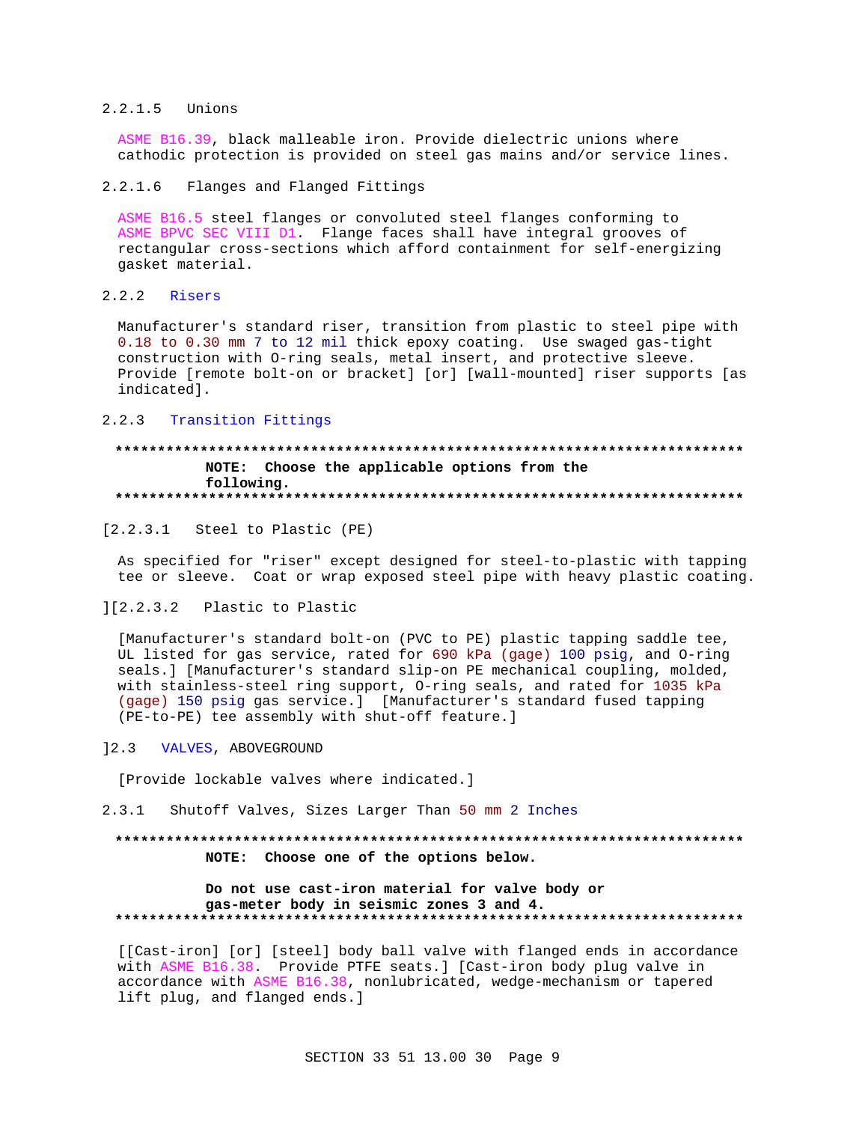## 2.2.1.5 Unions

ASME B16.39, black malleable iron. Provide dielectric unions where cathodic protection is provided on steel gas mains and/or service lines.

## 2.2.1.6 Flanges and Flanged Fittings

ASME B16.5 steel flanges or convoluted steel flanges conforming to ASME BPVC SEC VIII D1. Flange faces shall have integral grooves of rectangular cross-sections which afford containment for self-energizing gasket material.

## 2.2.2 Risers

Manufacturer's standard riser, transition from plastic to steel pipe with 0.18 to 0.30 mm 7 to 12 mil thick epoxy coating. Use swaged gas-tight construction with O-ring seals, metal insert, and protective sleeve. Provide [remote bolt-on or bracket] [or] [wall-mounted] riser supports [as indicated].

## 2.2.3 Transition Fittings

## **\*\*\*\*\*\*\*\*\*\*\*\*\*\*\*\*\*\*\*\*\*\*\*\*\*\*\*\*\*\*\*\*\*\*\*\*\*\*\*\*\*\*\*\*\*\*\*\*\*\*\*\*\*\*\*\*\*\*\*\*\*\*\*\*\*\*\*\*\*\*\*\*\*\* NOTE: Choose the applicable options from the following. \*\*\*\*\*\*\*\*\*\*\*\*\*\*\*\*\*\*\*\*\*\*\*\*\*\*\*\*\*\*\*\*\*\*\*\*\*\*\*\*\*\*\*\*\*\*\*\*\*\*\*\*\*\*\*\*\*\*\*\*\*\*\*\*\*\*\*\*\*\*\*\*\*\***

[2.2.3.1 Steel to Plastic (PE)

As specified for "riser" except designed for steel-to-plastic with tapping tee or sleeve. Coat or wrap exposed steel pipe with heavy plastic coating.

## ][2.2.3.2 Plastic to Plastic

[Manufacturer's standard bolt-on (PVC to PE) plastic tapping saddle tee, UL listed for gas service, rated for 690 kPa (gage) 100 psig, and O-ring seals.] [Manufacturer's standard slip-on PE mechanical coupling, molded, with stainless-steel ring support, O-ring seals, and rated for 1035 kPa (gage) 150 psig gas service.] [Manufacturer's standard fused tapping (PE-to-PE) tee assembly with shut-off feature.]

## ]2.3 VALVES, ABOVEGROUND

[Provide lockable valves where indicated.]

2.3.1 Shutoff Valves, Sizes Larger Than 50 mm 2 Inches

# **\*\*\*\*\*\*\*\*\*\*\*\*\*\*\*\*\*\*\*\*\*\*\*\*\*\*\*\*\*\*\*\*\*\*\*\*\*\*\*\*\*\*\*\*\*\*\*\*\*\*\*\*\*\*\*\*\*\*\*\*\*\*\*\*\*\*\*\*\*\*\*\*\*\* NOTE: Choose one of the options below.**

### **Do not use cast-iron material for valve body or gas-meter body in seismic zones 3 and 4. \*\*\*\*\*\*\*\*\*\*\*\*\*\*\*\*\*\*\*\*\*\*\*\*\*\*\*\*\*\*\*\*\*\*\*\*\*\*\*\*\*\*\*\*\*\*\*\*\*\*\*\*\*\*\*\*\*\*\*\*\*\*\*\*\*\*\*\*\*\*\*\*\*\***

[[Cast-iron] [or] [steel] body ball valve with flanged ends in accordance with ASME B16.38. Provide PTFE seats.] [Cast-iron body plug valve in accordance with ASME B16.38, nonlubricated, wedge-mechanism or tapered lift plug, and flanged ends.]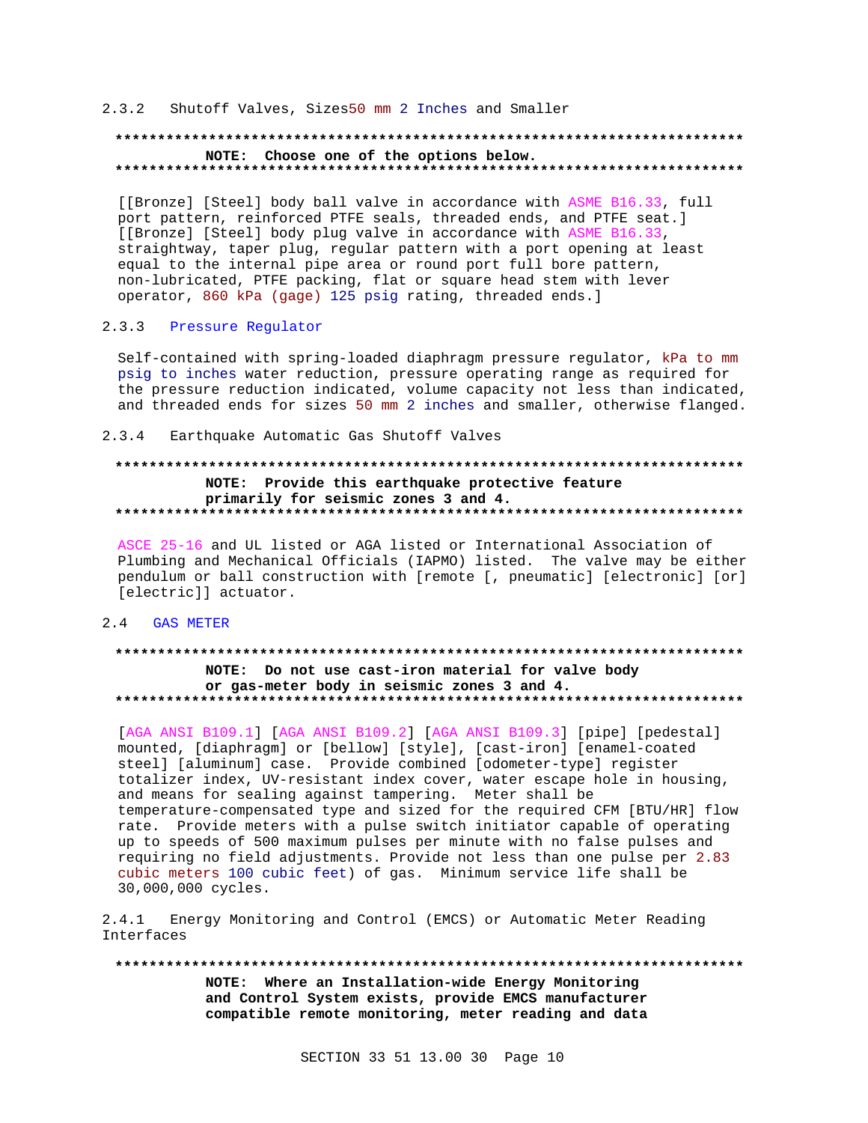## 2.3.2 Shutoff Valves, Sizes50 mm 2 Inches and Smaller

### **\*\*\*\*\*\*\*\*\*\*\*\*\*\*\*\*\*\*\*\*\*\*\*\*\*\*\*\*\*\*\*\*\*\*\*\*\*\*\*\*\*\*\*\*\*\*\*\*\*\*\*\*\*\*\*\*\*\*\*\*\*\*\*\*\*\*\*\*\*\*\*\*\*\* NOTE: Choose one of the options below. \*\*\*\*\*\*\*\*\*\*\*\*\*\*\*\*\*\*\*\*\*\*\*\*\*\*\*\*\*\*\*\*\*\*\*\*\*\*\*\*\*\*\*\*\*\*\*\*\*\*\*\*\*\*\*\*\*\*\*\*\*\*\*\*\*\*\*\*\*\*\*\*\*\***

[[Bronze] [Steel] body ball valve in accordance with ASME B16.33, full port pattern, reinforced PTFE seals, threaded ends, and PTFE seat.] [[Bronze] [Steel] body plug valve in accordance with ASME B16.33, straightway, taper plug, regular pattern with a port opening at least equal to the internal pipe area or round port full bore pattern, non-lubricated, PTFE packing, flat or square head stem with lever operator, 860 kPa (gage) 125 psig rating, threaded ends.]

## 2.3.3 Pressure Regulator

Self-contained with spring-loaded diaphragm pressure regulator, kPa to mm psig to inches water reduction, pressure operating range as required for the pressure reduction indicated, volume capacity not less than indicated, and threaded ends for sizes 50 mm 2 inches and smaller, otherwise flanged.

2.3.4 Earthquake Automatic Gas Shutoff Valves

# **\*\*\*\*\*\*\*\*\*\*\*\*\*\*\*\*\*\*\*\*\*\*\*\*\*\*\*\*\*\*\*\*\*\*\*\*\*\*\*\*\*\*\*\*\*\*\*\*\*\*\*\*\*\*\*\*\*\*\*\*\*\*\*\*\*\*\*\*\*\*\*\*\*\* NOTE: Provide this earthquake protective feature primarily for seismic zones 3 and 4. \*\*\*\*\*\*\*\*\*\*\*\*\*\*\*\*\*\*\*\*\*\*\*\*\*\*\*\*\*\*\*\*\*\*\*\*\*\*\*\*\*\*\*\*\*\*\*\*\*\*\*\*\*\*\*\*\*\*\*\*\*\*\*\*\*\*\*\*\*\*\*\*\*\***

ASCE 25-16 and UL listed or AGA listed or International Association of Plumbing and Mechanical Officials (IAPMO) listed. The valve may be either pendulum or ball construction with [remote [, pneumatic] [electronic] [or] [electric]] actuator.

## 2.4 GAS METER

#### **\*\*\*\*\*\*\*\*\*\*\*\*\*\*\*\*\*\*\*\*\*\*\*\*\*\*\*\*\*\*\*\*\*\*\*\*\*\*\*\*\*\*\*\*\*\*\*\*\*\*\*\*\*\*\*\*\*\*\*\*\*\*\*\*\*\*\*\*\*\*\*\*\*\***

## **NOTE: Do not use cast-iron material for valve body or gas-meter body in seismic zones 3 and 4. \*\*\*\*\*\*\*\*\*\*\*\*\*\*\*\*\*\*\*\*\*\*\*\*\*\*\*\*\*\*\*\*\*\*\*\*\*\*\*\*\*\*\*\*\*\*\*\*\*\*\*\*\*\*\*\*\*\*\*\*\*\*\*\*\*\*\*\*\*\*\*\*\*\***

[AGA ANSI B109.1] [AGA ANSI B109.2] [AGA ANSI B109.3] [pipe] [pedestal] mounted, [diaphragm] or [bellow] [style], [cast-iron] [enamel-coated steel] [aluminum] case. Provide combined [odometer-type] register totalizer index, UV-resistant index cover, water escape hole in housing, and means for sealing against tampering. Meter shall be temperature-compensated type and sized for the required CFM [BTU/HR] flow rate. Provide meters with a pulse switch initiator capable of operating up to speeds of 500 maximum pulses per minute with no false pulses and requiring no field adjustments. Provide not less than one pulse per 2.83 cubic meters 100 cubic feet) of gas. Minimum service life shall be 30,000,000 cycles.

2.4.1 Energy Monitoring and Control (EMCS) or Automatic Meter Reading Interfaces

**\*\*\*\*\*\*\*\*\*\*\*\*\*\*\*\*\*\*\*\*\*\*\*\*\*\*\*\*\*\*\*\*\*\*\*\*\*\*\*\*\*\*\*\*\*\*\*\*\*\*\*\*\*\*\*\*\*\*\*\*\*\*\*\*\*\*\*\*\*\*\*\*\*\* NOTE: Where an Installation-wide Energy Monitoring and Control System exists, provide EMCS manufacturer compatible remote monitoring, meter reading and data**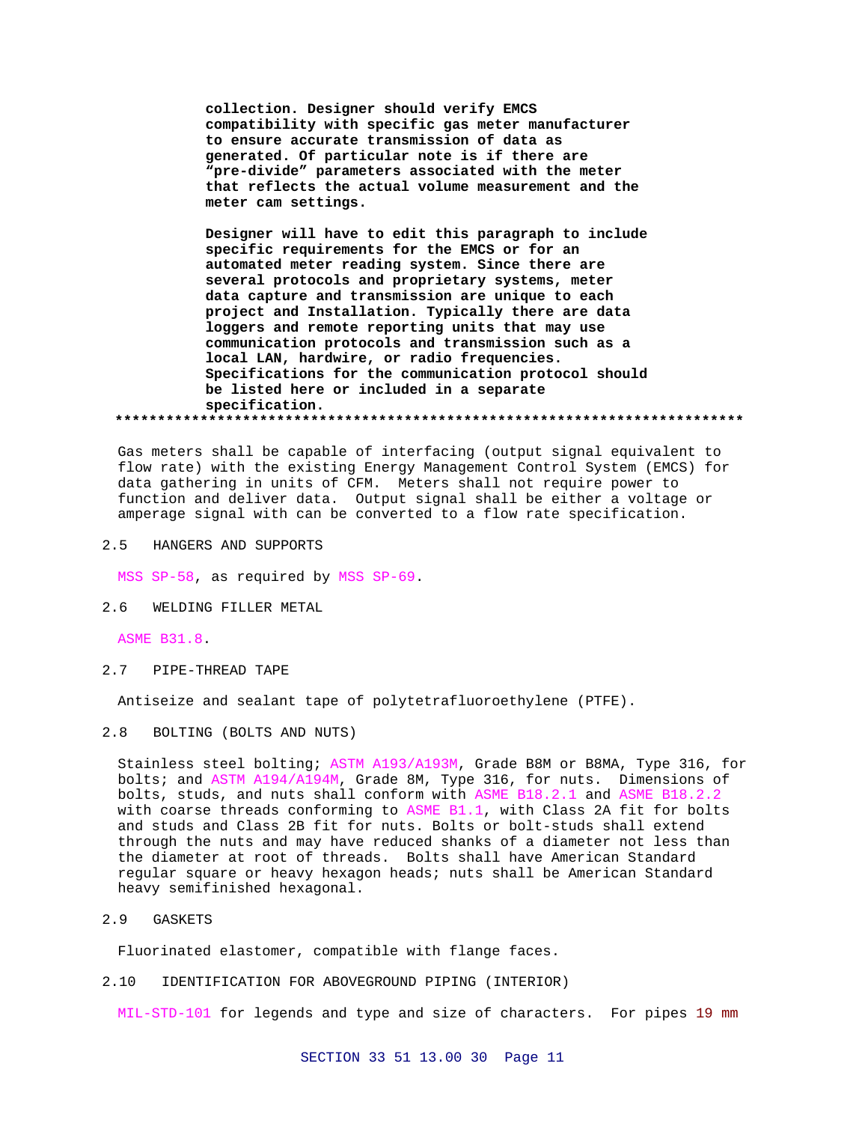**collection. Designer should verify EMCS compatibility with specific gas meter manufacturer to ensure accurate transmission of data as generated. Of particular note is if there are "pre-divide" parameters associated with the meter that reflects the actual volume measurement and the meter cam settings.**

**Designer will have to edit this paragraph to include specific requirements for the EMCS or for an automated meter reading system. Since there are several protocols and proprietary systems, meter data capture and transmission are unique to each project and Installation. Typically there are data loggers and remote reporting units that may use communication protocols and transmission such as a local LAN, hardwire, or radio frequencies. Specifications for the communication protocol should be listed here or included in a separate specification. \*\*\*\*\*\*\*\*\*\*\*\*\*\*\*\*\*\*\*\*\*\*\*\*\*\*\*\*\*\*\*\*\*\*\*\*\*\*\*\*\*\*\*\*\*\*\*\*\*\*\*\*\*\*\*\*\*\*\*\*\*\*\*\*\*\*\*\*\*\*\*\*\*\***

Gas meters shall be capable of interfacing (output signal equivalent to flow rate) with the existing Energy Management Control System (EMCS) for data gathering in units of CFM. Meters shall not require power to function and deliver data. Output signal shall be either a voltage or amperage signal with can be converted to a flow rate specification.

2.5 HANGERS AND SUPPORTS

MSS SP-58, as required by MSS SP-69.

2.6 WELDING FILLER METAL

ASME B31.8.

2.7 PIPE-THREAD TAPE

Antiseize and sealant tape of polytetrafluoroethylene (PTFE).

2.8 BOLTING (BOLTS AND NUTS)

Stainless steel bolting; ASTM A193/A193M, Grade B8M or B8MA, Type 316, for bolts; and ASTM A194/A194M, Grade 8M, Type 316, for nuts. Dimensions of bolts, studs, and nuts shall conform with ASME B18.2.1 and ASME B18.2.2 with coarse threads conforming to ASME B1.1, with Class 2A fit for bolts and studs and Class 2B fit for nuts. Bolts or bolt-studs shall extend through the nuts and may have reduced shanks of a diameter not less than the diameter at root of threads. Bolts shall have American Standard regular square or heavy hexagon heads; nuts shall be American Standard heavy semifinished hexagonal.

2.9 GASKETS

Fluorinated elastomer, compatible with flange faces.

2.10 IDENTIFICATION FOR ABOVEGROUND PIPING (INTERIOR)

MIL-STD-101 for legends and type and size of characters. For pipes 19 mm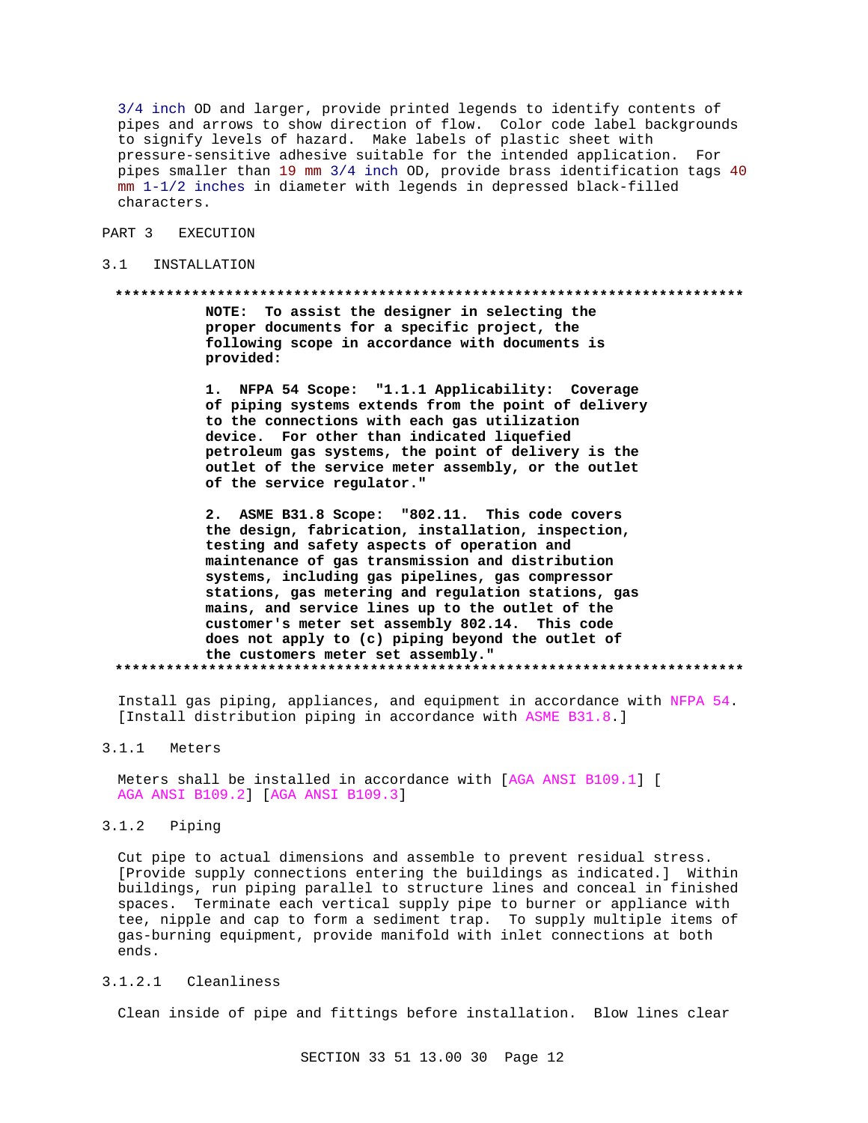3/4 inch OD and larger, provide printed legends to identify contents of pipes and arrows to show direction of flow. Color code label backgrounds to signify levels of hazard. Make labels of plastic sheet with pressure-sensitive adhesive suitable for the intended application. For pipes smaller than 19 mm 3/4 inch OD, provide brass identification tags 40  $mm 1-1/2$  inches in diameter with legends in depressed black-filled characters.

#### PART 3 **EXECUTION**

#### $3.1$ INSTALLATION

#### \*\*\*\*\*\*\*\*\*\*\*\*\*\*\*\*\*\*\*

NOTE: To assist the designer in selecting the proper documents for a specific project, the following scope in accordance with documents is provided:

1. NFPA 54 Scope: "1.1.1 Applicability: Coverage of piping systems extends from the point of delivery to the connections with each gas utilization device. For other than indicated liquefied petroleum gas systems, the point of delivery is the outlet of the service meter assembly, or the outlet of the service regulator."

ASME B31.8 Scope: "802.11. This code covers  $2.$ the design, fabrication, installation, inspection, testing and safety aspects of operation and maintenance of gas transmission and distribution systems, including gas pipelines, gas compressor stations, gas metering and regulation stations, gas mains, and service lines up to the outlet of the customer's meter set assembly 802.14. This code does not apply to (c) piping beyond the outlet of the customers meter set assembly." 

Install gas piping, appliances, and equipment in accordance with NFPA 54. [Install distribution piping in accordance with ASME B31.8.]

 $3.1.1$ Meters

> Meters shall be installed in accordance with [AGA ANSI B109.1] [ AGA ANSI B109.2] [AGA ANSI B109.3]

#### $3.1.2$ Piping

Cut pipe to actual dimensions and assemble to prevent residual stress. [Provide supply connections entering the buildings as indicated.] Within buildings, run piping parallel to structure lines and conceal in finished spaces. Terminate each vertical supply pipe to burner or appliance with tee, nipple and cap to form a sediment trap. To supply multiple items of gas-burning equipment, provide manifold with inlet connections at both ends.

#### $3.1.2.1$ Cleanliness

Clean inside of pipe and fittings before installation. Blow lines clear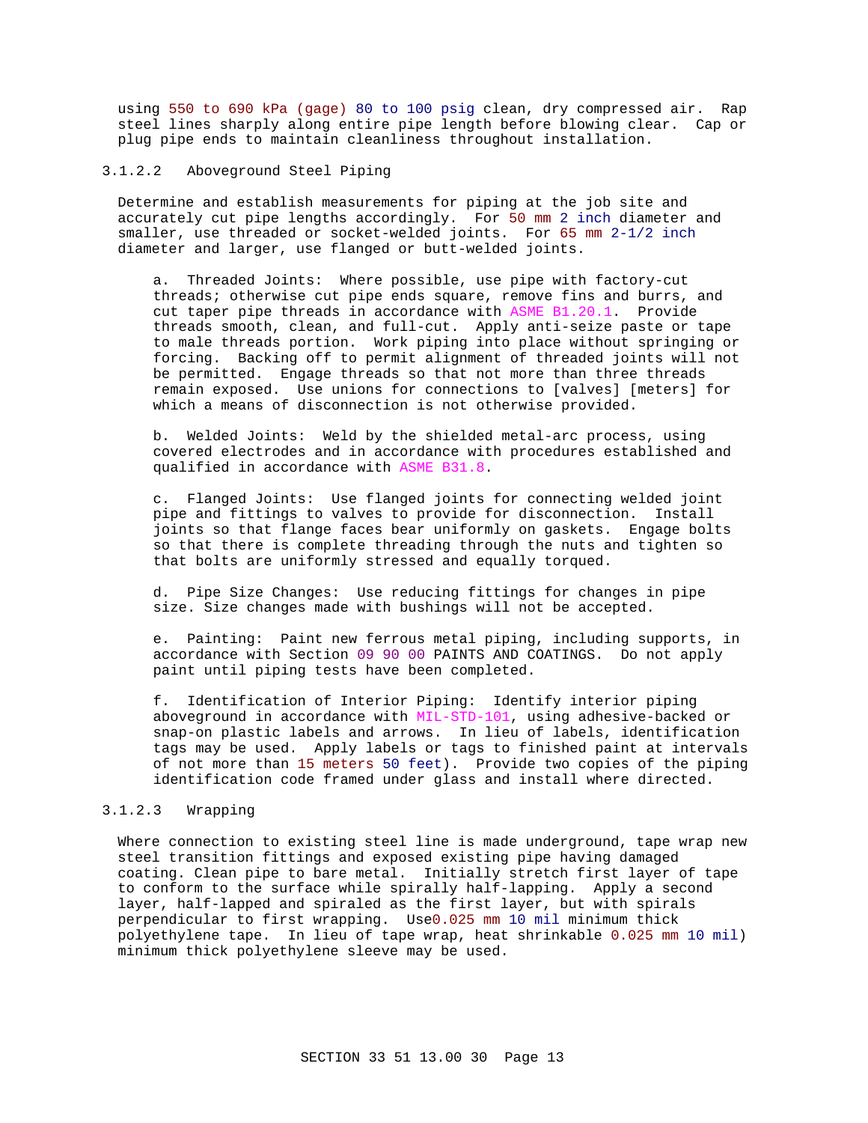using 550 to 690 kPa (gage) 80 to 100 psig clean, dry compressed air. Rap steel lines sharply along entire pipe length before blowing clear. Cap or plug pipe ends to maintain cleanliness throughout installation.

## 3.1.2.2 Aboveground Steel Piping

Determine and establish measurements for piping at the job site and accurately cut pipe lengths accordingly. For 50 mm 2 inch diameter and smaller, use threaded or socket-welded joints. For 65 mm 2-1/2 inch diameter and larger, use flanged or butt-welded joints.

a. Threaded Joints: Where possible, use pipe with factory-cut threads; otherwise cut pipe ends square, remove fins and burrs, and cut taper pipe threads in accordance with ASME B1.20.1. Provide threads smooth, clean, and full-cut. Apply anti-seize paste or tape to male threads portion. Work piping into place without springing or forcing. Backing off to permit alignment of threaded joints will not be permitted. Engage threads so that not more than three threads remain exposed. Use unions for connections to [valves] [meters] for which a means of disconnection is not otherwise provided.

b. Welded Joints: Weld by the shielded metal-arc process, using covered electrodes and in accordance with procedures established and qualified in accordance with ASME B31.8.

c. Flanged Joints: Use flanged joints for connecting welded joint pipe and fittings to valves to provide for disconnection. Install joints so that flange faces bear uniformly on gaskets. Engage bolts so that there is complete threading through the nuts and tighten so that bolts are uniformly stressed and equally torqued.

d. Pipe Size Changes: Use reducing fittings for changes in pipe size. Size changes made with bushings will not be accepted.

e. Painting: Paint new ferrous metal piping, including supports, in accordance with Section 09 90 00 PAINTS AND COATINGS. Do not apply paint until piping tests have been completed.

f. Identification of Interior Piping: Identify interior piping aboveground in accordance with MIL-STD-101, using adhesive-backed or snap-on plastic labels and arrows. In lieu of labels, identification tags may be used. Apply labels or tags to finished paint at intervals of not more than 15 meters 50 feet). Provide two copies of the piping identification code framed under glass and install where directed.

## 3.1.2.3 Wrapping

Where connection to existing steel line is made underground, tape wrap new steel transition fittings and exposed existing pipe having damaged coating. Clean pipe to bare metal. Initially stretch first layer of tape to conform to the surface while spirally half-lapping. Apply a second layer, half-lapped and spiraled as the first layer, but with spirals perpendicular to first wrapping. Use0.025 mm 10 mil minimum thick polyethylene tape. In lieu of tape wrap, heat shrinkable 0.025 mm 10 mil) minimum thick polyethylene sleeve may be used.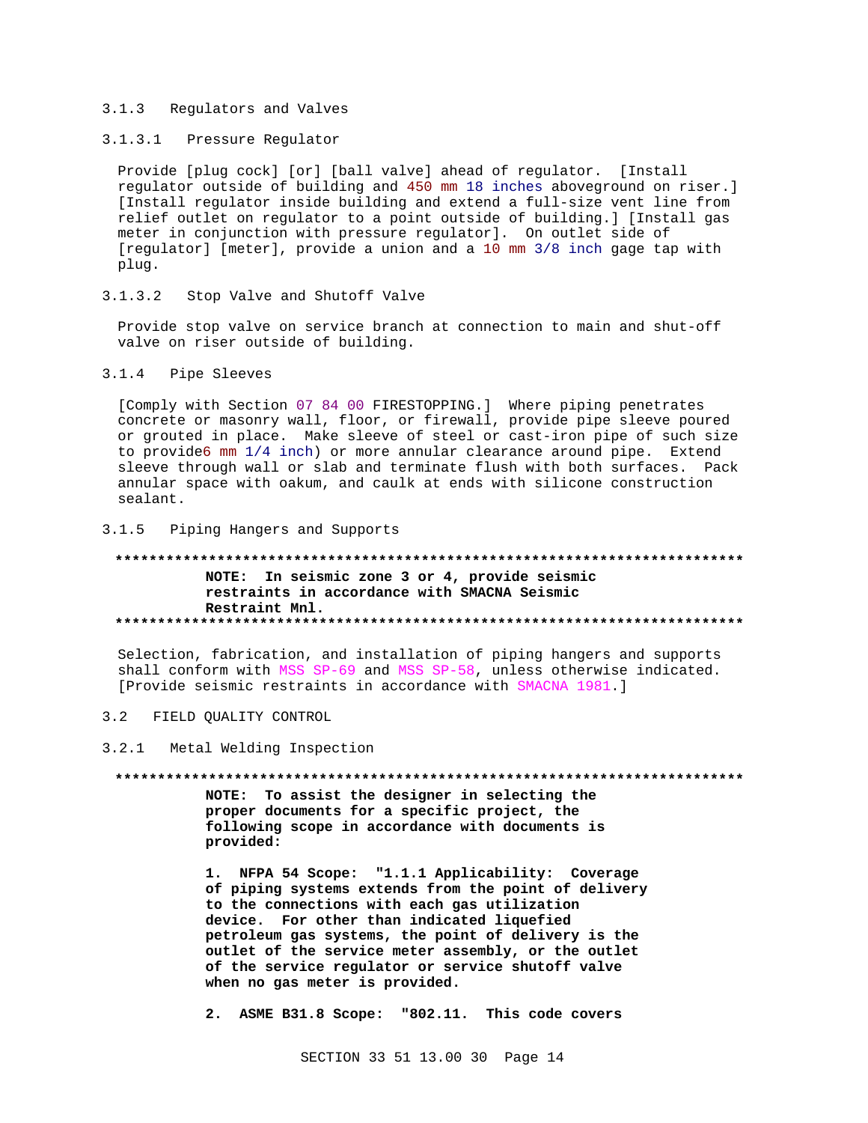#### $3.1.3$ Regulators and Valves

# 3.1.3.1 Pressure Regulator

Provide [plug cock] [or] [ball valve] ahead of regulator. [Install regulator outside of building and 450 mm 18 inches aboveground on riser.] [Install regulator inside building and extend a full-size vent line from relief outlet on regulator to a point outside of building.] [Install gas meter in conjunction with pressure regulator]. On outlet side of [regulator] [meter], provide a union and a 10 mm 3/8 inch gage tap with plug.

 $3.1.3.2$ Stop Valve and Shutoff Valve

Provide stop valve on service branch at connection to main and shut-off valve on riser outside of building.

## 3.1.4 Pipe Sleeves

[Comply with Section 07 84 00 FIRESTOPPING.] Where piping penetrates concrete or masonry wall, floor, or firewall, provide pipe sleeve poured or grouted in place. Make sleeve of steel or cast-iron pipe of such size to provide6 mm 1/4 inch) or more annular clearance around pipe. Extend sleeve through wall or slab and terminate flush with both surfaces. Pack annular space with oakum, and caulk at ends with silicone construction sealant.

 $3.1.5$ Piping Hangers and Supports

#### \*\*\*\*\*\*\*\*\*\*\*\*\*\*\*\*\*\*\*\*\*\* NOTE: In seismic zone 3 or 4, provide seismic restraints in accordance with SMACNA Seismic Restraint Mnl.

Selection, fabrication, and installation of piping hangers and supports shall conform with MSS SP-69 and MSS SP-58, unless otherwise indicated. [Provide seismic restraints in accordance with SMACNA 1981.]

#### $3.2$ FIELD QUALITY CONTROL

#### $3.2.1$ Metal Welding Inspection

#### 

NOTE: To assist the designer in selecting the proper documents for a specific project, the following scope in accordance with documents is provided:

1. NFPA 54 Scope: "1.1.1 Applicability: Coverage of piping systems extends from the point of delivery to the connections with each gas utilization device. For other than indicated liquefied petroleum gas systems, the point of delivery is the outlet of the service meter assembly, or the outlet of the service regulator or service shutoff valve when no gas meter is provided.

2. ASME B31.8 Scope: "802.11. This code covers